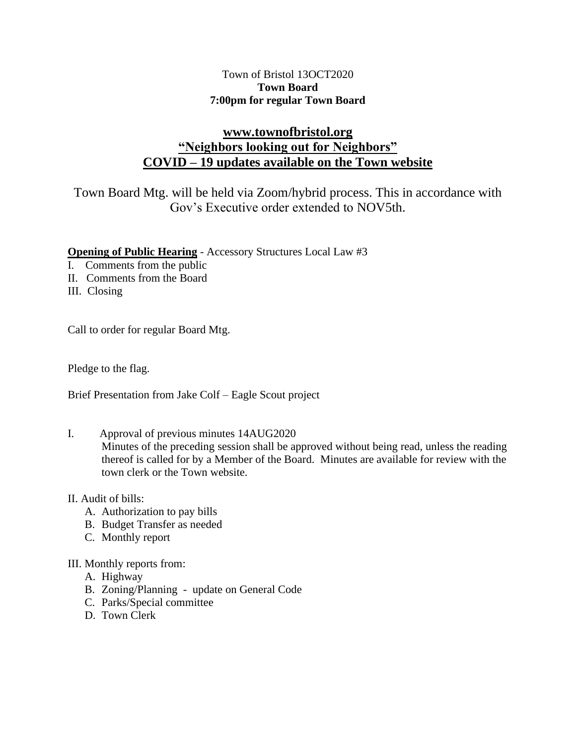## Town of Bristol 13OCT2020 **Town Board 7:00pm for regular Town Board**

# **[www.townofbristol.org](http://www.townofbristol.org/) "Neighbors looking out for Neighbors" COVID – 19 updates available on the Town website**

Town Board Mtg. will be held via Zoom/hybrid process. This in accordance with Gov's Executive order extended to NOV5th.

## **Opening of Public Hearing** - Accessory Structures Local Law #3

- I. Comments from the public
- II. Comments from the Board
- III. Closing

Call to order for regular Board Mtg.

Pledge to the flag.

Brief Presentation from Jake Colf – Eagle Scout project

I. Approval of previous minutes 14AUG2020

Minutes of the preceding session shall be approved without being read, unless the reading thereof is called for by a Member of the Board. Minutes are available for review with the town clerk or the Town website.

- II. Audit of bills:
	- A. Authorization to pay bills
	- B. Budget Transfer as needed
	- C. Monthly report
- III. Monthly reports from:
	- A. Highway
	- B. Zoning/Planning update on General Code
	- C. Parks/Special committee
	- D. Town Clerk